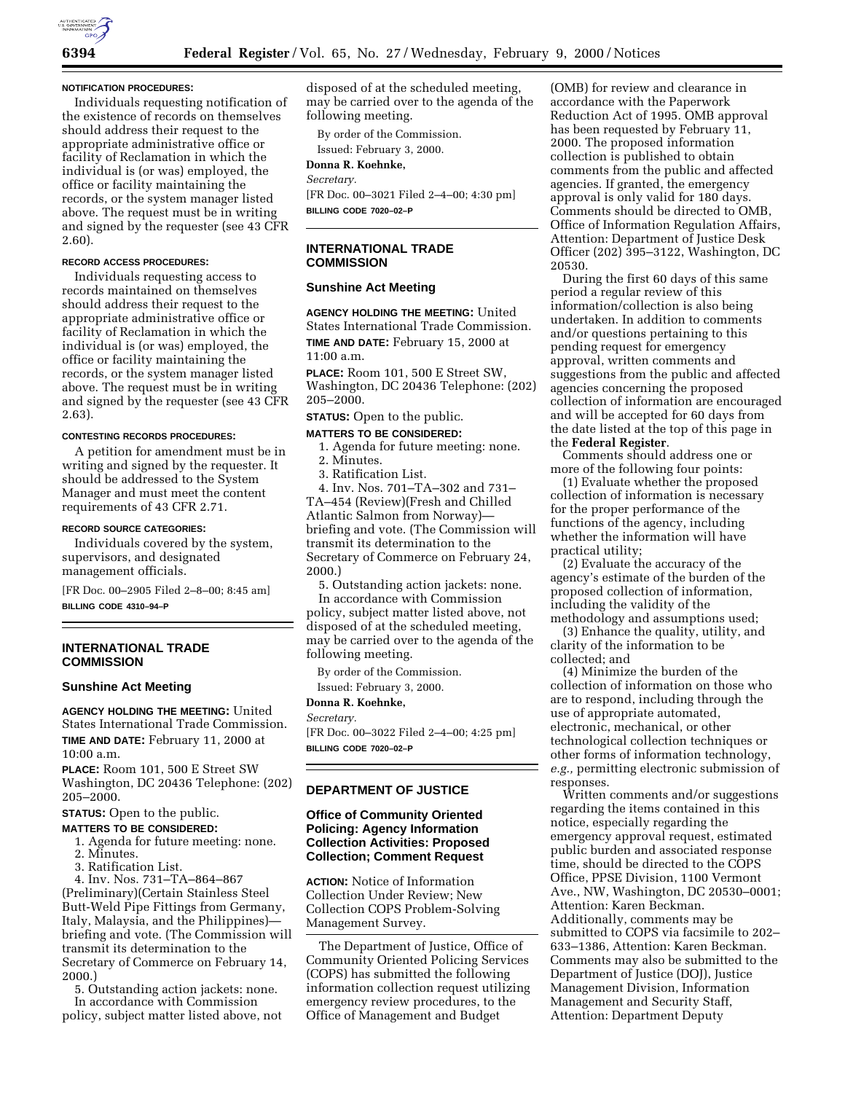#### **NOTIFICATION PROCEDURES:**

Individuals requesting notification of the existence of records on themselves should address their request to the appropriate administrative office or facility of Reclamation in which the individual is (or was) employed, the office or facility maintaining the records, or the system manager listed above. The request must be in writing and signed by the requester (see 43 CFR 2.60).

#### **RECORD ACCESS PROCEDURES:**

Individuals requesting access to records maintained on themselves should address their request to the appropriate administrative office or facility of Reclamation in which the individual is (or was) employed, the office or facility maintaining the records, or the system manager listed above. The request must be in writing and signed by the requester (see 43 CFR 2.63).

#### **CONTESTING RECORDS PROCEDURES:**

A petition for amendment must be in writing and signed by the requester. It should be addressed to the System Manager and must meet the content requirements of 43 CFR 2.71.

#### **RECORD SOURCE CATEGORIES:**

Individuals covered by the system, supervisors, and designated management officials.

[FR Doc. 00–2905 Filed 2–8–00; 8:45 am] **BILLING CODE 4310–94–P**

# **INTERNATIONAL TRADE COMMISSION**

#### **Sunshine Act Meeting**

**AGENCY HOLDING THE MEETING:** United States International Trade Commission. **TIME AND DATE:** February 11, 2000 at 10:00 a.m.

**PLACE:** Room 101, 500 E Street SW Washington, DC 20436 Telephone: (202) 205–2000.

**STATUS:** Open to the public.

# **MATTERS TO BE CONSIDERED:**

- 1. Agenda for future meeting: none.
- 2. Minutes.
- 3. Ratification List.

4. Inv. Nos. 731–TA–864–867 (Preliminary)(Certain Stainless Steel Butt-Weld Pipe Fittings from Germany, Italy, Malaysia, and the Philippines) briefing and vote. (The Commission will transmit its determination to the Secretary of Commerce on February 14, 2000.)

5. Outstanding action jackets: none. In accordance with Commission

policy, subject matter listed above, not

disposed of at the scheduled meeting, may be carried over to the agenda of the following meeting.

By order of the Commission. Issued: February 3, 2000.

**Donna R. Koehnke,** *Secretary.*

[FR Doc. 00–3021 Filed 2–4–00; 4:30 pm] **BILLING CODE 7020–02–P**

# **INTERNATIONAL TRADE COMMISSION**

# **Sunshine Act Meeting**

**AGENCY HOLDING THE MEETING:** United States International Trade Commission. **TIME AND DATE:** February 15, 2000 at 11:00 a.m.

**PLACE:** Room 101, 500 E Street SW, Washington, DC 20436 Telephone: (202) 205–2000.

# **STATUS:** Open to the public.

# **MATTERS TO BE CONSIDERED:**

1. Agenda for future meeting: none.

2. Minutes.

3. Ratification List.

4. Inv. Nos. 701–TA–302 and 731– TA–454 (Review)(Fresh and Chilled Atlantic Salmon from Norway) briefing and vote. (The Commission will transmit its determination to the Secretary of Commerce on February 24, 2000.)

5. Outstanding action jackets: none. In accordance with Commission

policy, subject matter listed above, not disposed of at the scheduled meeting, may be carried over to the agenda of the following meeting.

By order of the Commission.

Issued: February 3, 2000.

**Donna R. Koehnke,**

*Secretary.*

[FR Doc. 00–3022 Filed 2–4–00; 4:25 pm] **BILLING CODE 7020–02–P**

# **DEPARTMENT OF JUSTICE**

# **Office of Community Oriented Policing: Agency Information Collection Activities: Proposed Collection; Comment Request**

**ACTION:** Notice of Information Collection Under Review; New Collection COPS Problem-Solving Management Survey.

The Department of Justice, Office of Community Oriented Policing Services (COPS) has submitted the following information collection request utilizing emergency review procedures, to the Office of Management and Budget

(OMB) for review and clearance in accordance with the Paperwork Reduction Act of 1995. OMB approval has been requested by February 11, 2000. The proposed information collection is published to obtain comments from the public and affected agencies. If granted, the emergency approval is only valid for 180 days. Comments should be directed to OMB, Office of Information Regulation Affairs, Attention: Department of Justice Desk Officer (202) 395–3122, Washington, DC 20530.

During the first 60 days of this same period a regular review of this information/collection is also being undertaken. In addition to comments and/or questions pertaining to this pending request for emergency approval, written comments and suggestions from the public and affected agencies concerning the proposed collection of information are encouraged and will be accepted for 60 days from the date listed at the top of this page in the **Federal Register**.

Comments should address one or more of the following four points:

(1) Evaluate whether the proposed collection of information is necessary for the proper performance of the functions of the agency, including whether the information will have practical utility;

(2) Evaluate the accuracy of the agency's estimate of the burden of the proposed collection of information, including the validity of the methodology and assumptions used;

(3) Enhance the quality, utility, and clarity of the information to be collected; and

(4) Minimize the burden of the collection of information on those who are to respond, including through the use of appropriate automated, electronic, mechanical, or other technological collection techniques or other forms of information technology, *e.g.,* permitting electronic submission of responses.

Written comments and/or suggestions regarding the items contained in this notice, especially regarding the emergency approval request, estimated public burden and associated response time, should be directed to the COPS Office, PPSE Division, 1100 Vermont Ave., NW, Washington, DC 20530–0001; Attention: Karen Beckman. Additionally, comments may be submitted to COPS via facsimile to 202– 633–1386, Attention: Karen Beckman. Comments may also be submitted to the Department of Justice (DOJ), Justice Management Division, Information Management and Security Staff, Attention: Department Deputy